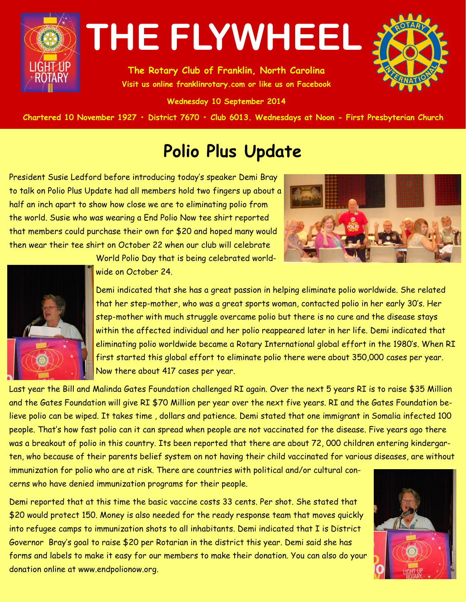

**The Rotary Club of Franklin, North Carolina Visit us online franklinrotary.com or like us on Facebook** 

**Wednesday 10 September 2014**



Chartered 10 November 1927 • District 7670 • Club 6013. Wednesdays at Noon - First Presbyterian Church

# **Polio Plus Update**

President Susie Ledford before introducing today's speaker Demi Bray to talk on Polio Plus Update had all members hold two fingers up about a half an inch apart to show how close we are to eliminating polio from the world. Susie who was wearing a End Polio Now tee shirt reported that members could purchase their own for \$20 and hoped many would then wear their tee shirt on October 22 when our club will celebrate





World Polio Day that is being celebrated worldwide on October 24.

Demi indicated that she has a great passion in helping eliminate polio worldwide. She related that her step-mother, who was a great sports woman, contacted polio in her early 30's. Her step-mother with much struggle overcame polio but there is no cure and the disease stays within the affected individual and her polio reappeared later in her life. Demi indicated that eliminating polio worldwide became a Rotary International global effort in the 1980's. When RI first started this global effort to eliminate polio there were about 350,000 cases per year. Now there about 417 cases per year.

Last year the Bill and Malinda Gates Foundation challenged RI again. Over the next 5 years RI is to raise \$35 Million and the Gates Foundation will give RI \$70 Million per year over the next five years. RI and the Gates Foundation believe polio can be wiped. It takes time , dollars and patience. Demi stated that one immigrant in Somalia infected 100 people. That's how fast polio can it can spread when people are not vaccinated for the disease. Five years ago there was a breakout of polio in this country. Its been reported that there are about 72, 000 children entering kindergarten, who because of their parents belief system on not having their child vaccinated for various diseases, are without immunization for polio who are at risk. There are countries with political and/or cultural con-

cerns who have denied immunization programs for their people.

Demi reported that at this time the basic vaccine costs 33 cents. Per shot. She stated that \$20 would protect 150. Money is also needed for the ready response team that moves quickly into refugee camps to immunization shots to all inhabitants. Demi indicated that I is District Governor Bray's goal to raise \$20 per Rotarian in the district this year. Demi said she has forms and labels to make it easy for our members to make their donation. You can also do your donation online at www.endpolionow.org.

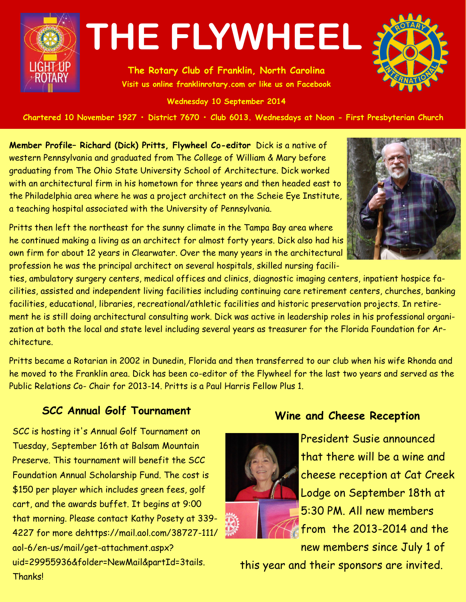

**The Rotary Club of Franklin, North Carolina Visit us online franklinrotary.com or like us on Facebook** 

**Wednesday 10 September 2014**

Chartered 10 November 1927 • District 7670 • Club 6013. Wednesdays at Noon - First Presbyterian Church

**Member Profile– Richard (Dick) Pritts, Flywheel Co-editor** Dick is a native of western Pennsylvania and graduated from The College of William & Mary before graduating from The Ohio State University School of Architecture. Dick worked with an architectural firm in his hometown for three years and then headed east to the Philadelphia area where he was a project architect on the Scheie Eye Institute, a teaching hospital associated with the University of Pennsylvania.



Pritts then left the northeast for the sunny climate in the Tampa Bay area where he continued making a living as an architect for almost forty years. Dick also had his own firm for about 12 years in Clearwater. Over the many years in the architectural profession he was the principal architect on several hospitals, skilled nursing facili-

ties, ambulatory surgery centers, medical offices and clinics, diagnostic imaging centers, inpatient hospice facilities, assisted and independent living facilities including continuing care retirement centers, churches, banking facilities, educational, libraries, recreational/athletic facilities and historic preservation projects. In retirement he is still doing architectural consulting work. Dick was active in leadership roles in his professional organization at both the local and state level including several years as treasurer for the Florida Foundation for Architecture.

Pritts became a Rotarian in 2002 in Dunedin, Florida and then transferred to our club when his wife Rhonda and he moved to the Franklin area. Dick has been co-editor of the Flywheel for the last two years and served as the Public Relations Co- Chair for 2013-14. Pritts is a Paul Harris Fellow Plus 1.

### **SCC Annual Golf Tournament**

SCC is hosting it's Annual Golf Tournament on Tuesday, September 16th at Balsam Mountain Preserve. This tournament will benefit the SCC Foundation Annual Scholarship Fund. The cost is \$150 per player which includes green fees, golf cart, and the awards buffet. It begins at 9:00 that morning. Please contact Kathy Posety at 339- 4227 for more dehttps://mail.aol.com/38727-111/ aol-6/en-us/mail/get-attachment.aspx? uid=29955936&folder=NewMail&partId=3tails. **Thanks!** 

#### **Wine and Cheese Reception**



President Susie announced that there will be a wine and cheese reception at Cat Creek Lodge on September 18th at 5:30 PM. All new members from the 2013-2014 and the new members since July 1 of

this year and their sponsors are invited.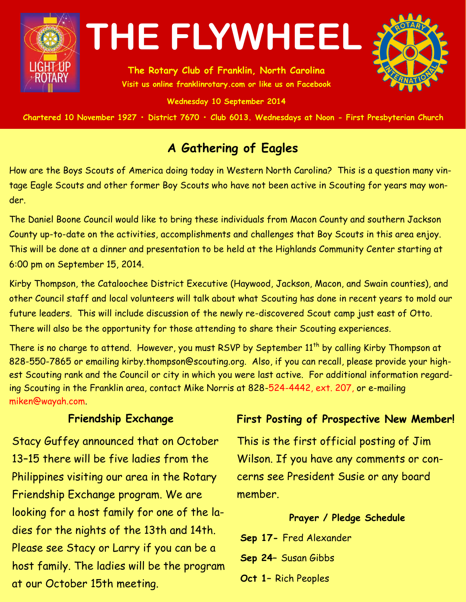

**The Rotary Club of Franklin, North Carolina Visit us online franklinrotary.com or like us on Facebook** 



**Wednesday 10 September 2014**

Chartered 10 November 1927 • District 7670 • Club 6013. Wednesdays at Noon - First Presbyterian Church

### **A Gathering of Eagles**

How are the Boys Scouts of America doing today in Western North Carolina? This is a question many vintage Eagle Scouts and other former Boy Scouts who have not been active in Scouting for years may wonder.

The Daniel Boone Council would like to bring these individuals from Macon County and southern Jackson County up-to-date on the activities, accomplishments and challenges that Boy Scouts in this area enjoy. This will be done at a dinner and presentation to be held at the Highlands Community Center starting at 6:00 pm on September 15, 2014.

Kirby Thompson, the Cataloochee District Executive (Haywood, Jackson, Macon, and Swain counties), and other Council staff and local volunteers will talk about what Scouting has done in recent years to mold our future leaders. This will include discussion of the newly re-discovered Scout camp just east of Otto. There will also be the opportunity for those attending to share their Scouting experiences.

There is no charge to attend. However, you must RSVP by September 11<sup>th</sup> by calling Kirby Thompson at 828-550-7865 or emailing kirby.thompson@scouting.org. Also, if you can recall, please provide your highest Scouting rank and the Council or city in which you were last active. For additional information regarding Scouting in the Franklin area, contact Mike Norris at 828-524-4442, ext. 207, or e-mailing miken@wayah.com.

#### **Friendship Exchange**

Stacy Guffey announced that on October 13–15 there will be five ladies from the Philippines visiting our area in the Rotary Friendship Exchange program. We are looking for a host family for one of the ladies for the nights of the 13th and 14th. Please see Stacy or Larry if you can be a host family. The ladies will be the program at our October 15th meeting.

#### **First Posting of Prospective New Member!**

This is the first official posting of Jim Wilson. If you have any comments or concerns see President Susie or any board member.

#### **Prayer / Pledge Schedule**

**Sep 17-** Fred Alexander **Sep 24–** Susan Gibbs **Oct 1–** Rich Peoples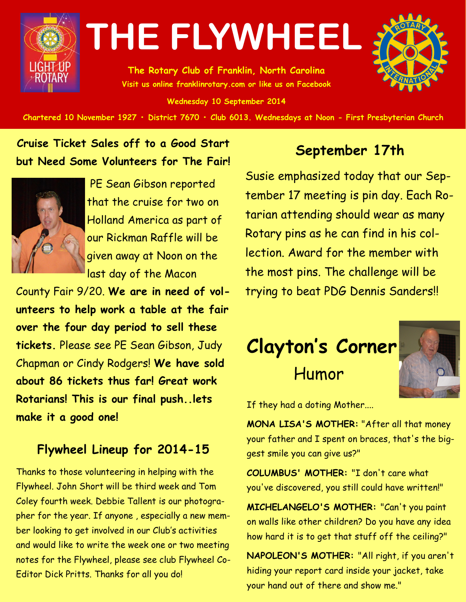

**The Rotary Club of Franklin, North Carolina Visit us online franklinrotary.com or like us on Facebook** 

**Wednesday 10 September 2014**

Chartered 10 November 1927 • District 7670 • Club 6013. Wednesdays at Noon - First Presbyterian Church

### **Cruise Ticket Sales off to a Good Start but Need Some Volunteers for The Fair!**



PE Sean Gibson reported that the cruise for two on Holland America as part of our Rickman Raffle will be given away at Noon on the last day of the Macon

County Fair 9/20. **We are in need of volunteers to help work a table at the fair over the four day period to sell these tickets.** Please see PE Sean Gibson, Judy Chapman or Cindy Rodgers! **We have sold about 86 tickets thus far! Great work Rotarians! This is our final push..lets make it a good one!**

### **Flywheel Lineup for 2014-15**

Thanks to those volunteering in helping with the Flywheel. John Short will be third week and Tom Coley fourth week. Debbie Tallent is our photographer for the year. If anyone , especially a new member looking to get involved in our Club's activities and would like to write the week one or two meeting notes for the Flywheel, please see club Flywheel Co-Editor Dick Pritts. Thanks for all you do!

## **September 17th**

Susie emphasized today that our September 17 meeting is pin day. Each Rotarian attending should wear as many Rotary pins as he can find in his collection. Award for the member with the most pins. The challenge will be trying to beat PDG Dennis Sanders!!

# **Clayton's Corner** Humor



If they had a doting Mother....

**MONA LISA'S MOTHER:** "After all that money your father and I spent on braces, that's the biggest smile you can give us?"

**COLUMBUS' MOTHER:** "I don't care what you've discovered, you still could have written!"

**MICHELANGELO'S MOTHER:** "Can't you paint on walls like other children? Do you have any idea how hard it is to get that stuff off the ceiling?"

**NAPOLEON'S MOTHER:** "All right, if you aren't hiding your report card inside your jacket, take your hand out of there and show me."